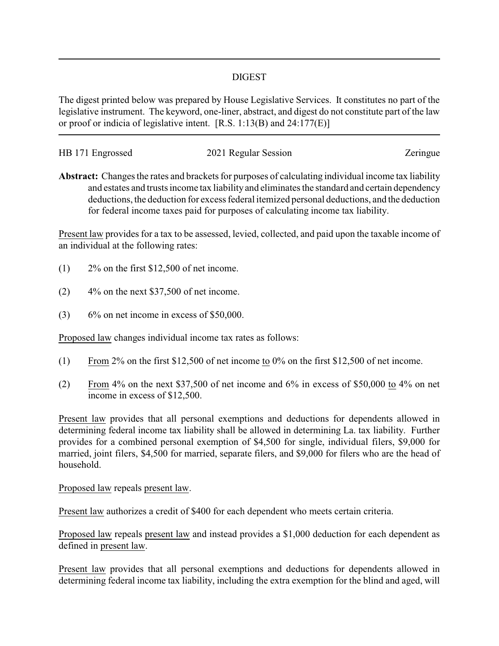## DIGEST

The digest printed below was prepared by House Legislative Services. It constitutes no part of the legislative instrument. The keyword, one-liner, abstract, and digest do not constitute part of the law or proof or indicia of legislative intent. [R.S. 1:13(B) and 24:177(E)]

| HB 171 Engrossed | 2021 Regular Session | Zeringue |
|------------------|----------------------|----------|
|                  |                      |          |

**Abstract:** Changes the rates and brackets for purposes of calculating individual income tax liability and estates and trusts income tax liability and eliminates the standard and certain dependency deductions, the deduction for excess federal itemized personal deductions, and the deduction for federal income taxes paid for purposes of calculating income tax liability.

Present law provides for a tax to be assessed, levied, collected, and paid upon the taxable income of an individual at the following rates:

- (1) 2% on the first \$12,500 of net income.
- $(2)$  4% on the next \$37,500 of net income.
- $(3)$  6% on net income in excess of \$50,000.

Proposed law changes individual income tax rates as follows:

- (1) From 2% on the first \$12,500 of net income to 0% on the first \$12,500 of net income.
- (2) From 4% on the next \$37,500 of net income and 6% in excess of \$50,000 to 4% on net income in excess of \$12,500.

Present law provides that all personal exemptions and deductions for dependents allowed in determining federal income tax liability shall be allowed in determining La. tax liability. Further provides for a combined personal exemption of \$4,500 for single, individual filers, \$9,000 for married, joint filers, \$4,500 for married, separate filers, and \$9,000 for filers who are the head of household.

## Proposed law repeals present law.

Present law authorizes a credit of \$400 for each dependent who meets certain criteria.

Proposed law repeals present law and instead provides a \$1,000 deduction for each dependent as defined in present law.

Present law provides that all personal exemptions and deductions for dependents allowed in determining federal income tax liability, including the extra exemption for the blind and aged, will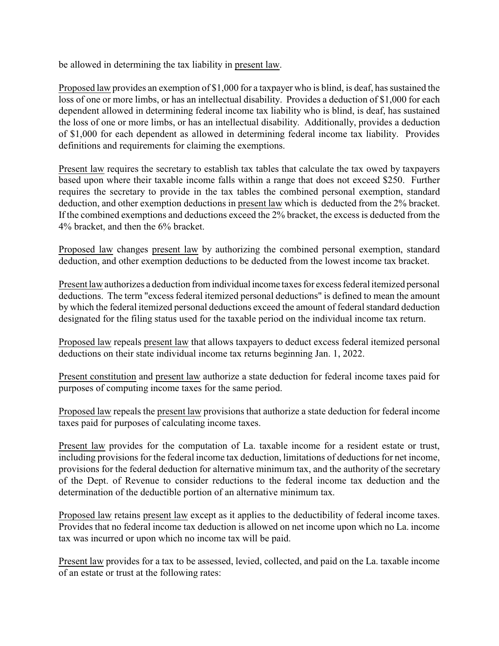be allowed in determining the tax liability in present law.

Proposed law provides an exemption of \$1,000 for a taxpayer who is blind, is deaf, has sustained the loss of one or more limbs, or has an intellectual disability. Provides a deduction of \$1,000 for each dependent allowed in determining federal income tax liability who is blind, is deaf, has sustained the loss of one or more limbs, or has an intellectual disability. Additionally, provides a deduction of \$1,000 for each dependent as allowed in determining federal income tax liability. Provides definitions and requirements for claiming the exemptions.

Present law requires the secretary to establish tax tables that calculate the tax owed by taxpayers based upon where their taxable income falls within a range that does not exceed \$250. Further requires the secretary to provide in the tax tables the combined personal exemption, standard deduction, and other exemption deductions in present law which is deducted from the 2% bracket. If the combined exemptions and deductions exceed the 2% bracket, the excess is deducted from the 4% bracket, and then the 6% bracket.

Proposed law changes present law by authorizing the combined personal exemption, standard deduction, and other exemption deductions to be deducted from the lowest income tax bracket.

Present law authorizes a deduction fromindividual income taxes for excess federal itemized personal deductions. The term "excess federal itemized personal deductions" is defined to mean the amount by which the federal itemized personal deductions exceed the amount of federal standard deduction designated for the filing status used for the taxable period on the individual income tax return.

Proposed law repeals present law that allows taxpayers to deduct excess federal itemized personal deductions on their state individual income tax returns beginning Jan. 1, 2022.

Present constitution and present law authorize a state deduction for federal income taxes paid for purposes of computing income taxes for the same period.

Proposed law repeals the present law provisions that authorize a state deduction for federal income taxes paid for purposes of calculating income taxes.

Present law provides for the computation of La. taxable income for a resident estate or trust, including provisions for the federal income tax deduction, limitations of deductions for net income, provisions for the federal deduction for alternative minimum tax, and the authority of the secretary of the Dept. of Revenue to consider reductions to the federal income tax deduction and the determination of the deductible portion of an alternative minimum tax.

Proposed law retains present law except as it applies to the deductibility of federal income taxes. Provides that no federal income tax deduction is allowed on net income upon which no La. income tax was incurred or upon which no income tax will be paid.

Present law provides for a tax to be assessed, levied, collected, and paid on the La. taxable income of an estate or trust at the following rates: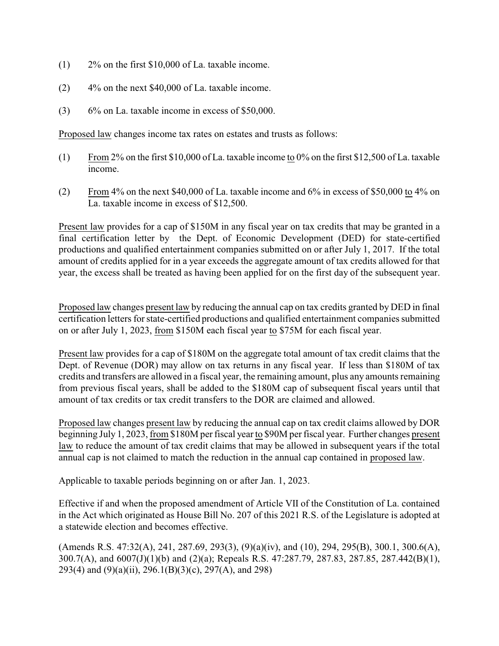- (1) 2% on the first \$10,000 of La. taxable income.
- (2) 4% on the next \$40,000 of La. taxable income.
- (3) 6% on La. taxable income in excess of \$50,000.

Proposed law changes income tax rates on estates and trusts as follows:

- (1) From 2% on the first \$10,000 of La. taxable income to 0% on the first \$12,500 of La. taxable income.
- (2) From 4% on the next \$40,000 of La. taxable income and 6% in excess of \$50,000 to 4% on La. taxable income in excess of \$12,500.

Present law provides for a cap of \$150M in any fiscal year on tax credits that may be granted in a final certification letter by the Dept. of Economic Development (DED) for state-certified productions and qualified entertainment companies submitted on or after July 1, 2017. If the total amount of credits applied for in a year exceeds the aggregate amount of tax credits allowed for that year, the excess shall be treated as having been applied for on the first day of the subsequent year.

Proposed law changes present law by reducing the annual cap on tax credits granted by DED in final certification letters for state-certified productions and qualified entertainment companies submitted on or after July 1, 2023, from \$150M each fiscal year to \$75M for each fiscal year.

Present law provides for a cap of \$180M on the aggregate total amount of tax credit claims that the Dept. of Revenue (DOR) may allow on tax returns in any fiscal year. If less than \$180M of tax credits and transfers are allowed in a fiscal year, the remaining amount, plus any amounts remaining from previous fiscal years, shall be added to the \$180M cap of subsequent fiscal years until that amount of tax credits or tax credit transfers to the DOR are claimed and allowed.

Proposed law changes present law by reducing the annual cap on tax credit claims allowed by DOR beginning July 1, 2023, from \$180M per fiscal year to \$90M per fiscal year. Further changes present law to reduce the amount of tax credit claims that may be allowed in subsequent years if the total annual cap is not claimed to match the reduction in the annual cap contained in proposed law.

Applicable to taxable periods beginning on or after Jan. 1, 2023.

Effective if and when the proposed amendment of Article VII of the Constitution of La. contained in the Act which originated as House Bill No. 207 of this 2021 R.S. of the Legislature is adopted at a statewide election and becomes effective.

(Amends R.S. 47:32(A), 241, 287.69, 293(3), (9)(a)(iv), and (10), 294, 295(B), 300.1, 300.6(A), 300.7(A), and 6007(J)(1)(b) and (2)(a); Repeals R.S. 47:287.79, 287.83, 287.85, 287.442(B)(1), 293(4) and (9)(a)(ii), 296.1(B)(3)(c), 297(A), and 298)